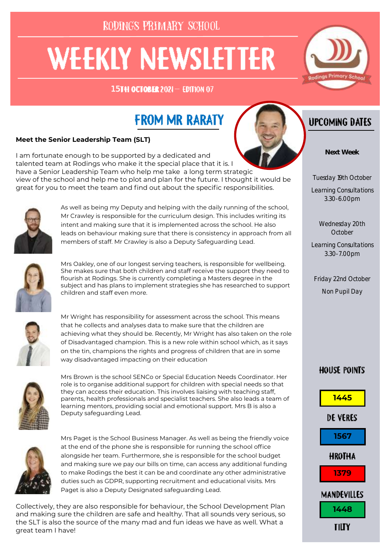RODINGS PRIMARY SCHOOL

# **WEEKLY NEWSLETTER**

15TH OCTOBER 2021- EDITION 07



# **FROM MR RARATY**

#### **Meet the Senior Leadership Team (SLT)**

I am fortunate enough to be supported by a dedicated and talented team at Rodings who make it the special place that it is. I have a Senior Leadership Team who help me take a long term strategic view of the school and help me to plot and plan for the future. I thought it would be great for you to meet the team and find out about the specific responsibilities.



As well as being my Deputy and helping with the daily running of the school, Mr Crawley is responsible for the curriculum design. This includes writing its intent and making sure that it is implemented across the school. He also leads on behaviour making sure that there is consistency in approach from all members of staff. Mr Crawley is also a Deputy Safeguarding Lead.



Mrs Oakley, one of our longest serving teachers, is responsible for wellbeing. She makes sure that both children and staff receive the support they need to flourish at Rodings. She is currently completing a Masters degree in the subject and has plans to implement strategies she has researched to support children and staff even more.



Mr Wright has responsibility for assessment across the school. This means that he collects and analyses data to make sure that the children are achieving what they should be. Recently, Mr Wright has also taken on the role of Disadvantaged champion. This is a new role within school which, as it says on the tin, champions the rights and progress of children that are in some way disadvantaged impacting on their education



Mrs Brown is the school SENCo or Special Education Needs Coordinator. Her role is to organise additional support for children with special needs so that they can access their education. This involves liaising with teaching staff, parents, health professionals and specialist teachers. She also leads a team of learning mentors, providing social and emotional support. Mrs B is also a Deputy safeguarding Lead.



Mrs Paget is the School Business Manager. As well as being the friendly voice at the end of the phone she is responsible for running the school office alongside her team. Furthermore, she is responsible for the school budget and making sure we pay our bills on time, can access any additional funding to make Rodings the best it can be and coordinate any other administrative duties such as GDPR, supporting recruitment and educational visits. Mrs Paget is also a Deputy Designated safeguarding Lead.

Collectively, they are also responsible for behaviour, the School Development Plan and making sure the children are safe and healthy. That all sounds very serious, so the SLT is also the source of the many mad and fun ideas we have as well. What a great team I have!



**Next Week**

Tuesday 19th October

Learning Consultations 3.30-6.00pm

> Wednesday 20th October

Learning Consultations 3.30-7.00pm

Friday 22nd October Non Pupil Day

#### **HOUSE POINTS**

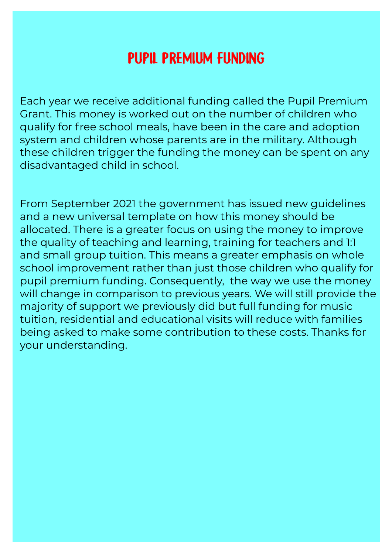# **PUPIL PREMIUM FUNDING**

Each year we receive additional funding called the Pupil Premium Grant. This money is worked out on the number of children who qualify for free school meals, have been in the care and adoption system and children whose parents are in the military. Although these children trigger the funding the money can be spent on any disadvantaged child in school.

From September 2021 the government has issued new guidelines and a new universal template on how this money should be allocated. There is a greater focus on using the money to improve the quality of teaching and learning, training for teachers and 1:1 and small group tuition. This means a greater emphasis on whole school improvement rather than just those children who qualify for pupil premium funding. Consequently, the way we use the money will change in comparison to previous years. We will still provide the majority of support we previously did but full funding for music tuition, residential and educational visits will reduce with families being asked to make some contribution to these costs. Thanks for your understanding.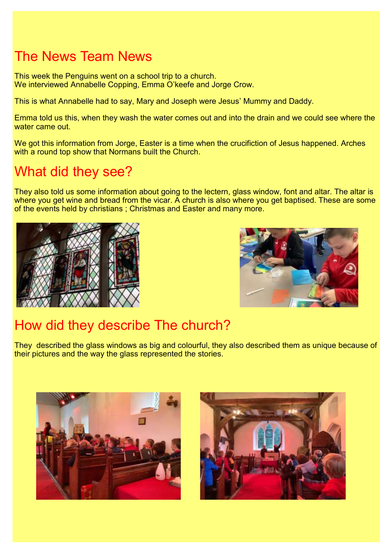# The News Team News

This week the Penguins went on a school trip to a church. We interviewed Annabelle Copping, Emma O'keefe and Jorge Crow.

This is what Annabelle had to say, Mary and Joseph were Jesus' Mummy and Daddy.

Emma told us this, when they wash the water comes out and into the drain and we could see where the water came out.

We got this information from Jorge, Easter is a time when the crucifiction of Jesus happened. Arches with a round top show that Normans built the Church.

## What did they see?

They also told us some information about going to the lectern, glass window, font and altar. The altar is where you get wine and bread from the vicar. A church is also where you get baptised. These are some of the events held by christians ; Christmas and Easter and many more.





# How did they describe The church?

They described the glass windows as big and colourful, they also described them as unique because of their pictures and the way the glass represented the stories.



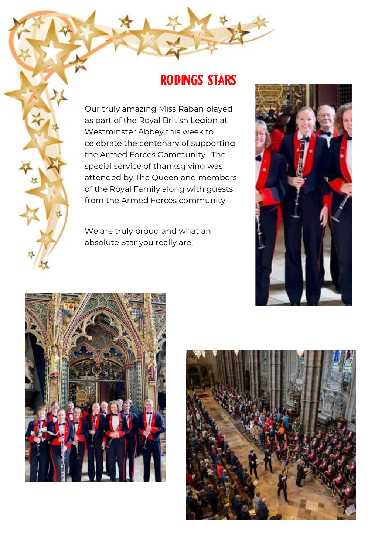## **RODINGS STARS**

Our truly amazing Miss Raban played as part of the Royal British Legion at Westminster Abbey this week to celebrate the centenary of supporting the Armed Forces Community. The special service of thanksgiving was attended by The Queen and members of the Royal Family along with guests from the Armed Forces community.

We are truly proud and what an absolute Star you really are!





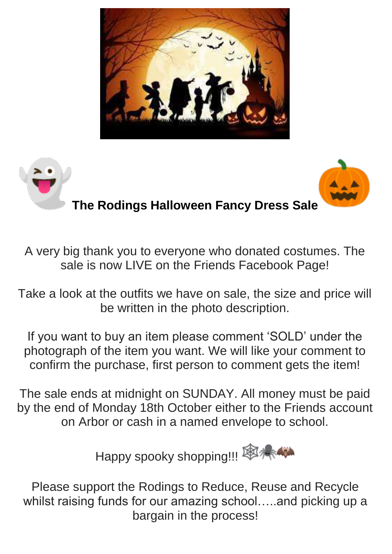



A very big thank you to everyone who donated costumes. The sale is now LIVE on the Friends Facebook Page!

Take a look at the outfits we have on sale, the size and price will be written in the photo description.

If you want to buy an item please comment 'SOLD' under the photograph of the item you want. We will like your comment to confirm the purchase, first person to comment gets the item!

The sale ends at midnight on SUNDAY. All money must be paid by the end of Monday 18th October either to the Friends account on Arbor or cash in a named envelope to school.



Please support the Rodings to Reduce, Reuse and Recycle whilst raising funds for our amazing school…..and picking up a bargain in the process!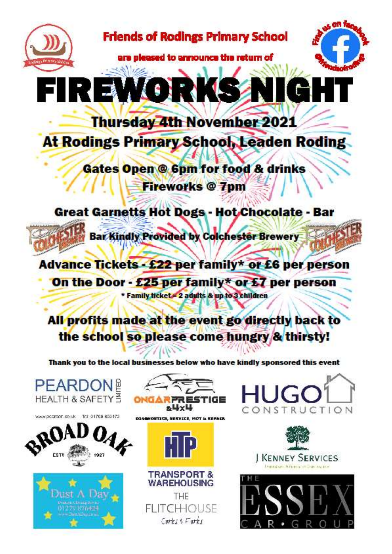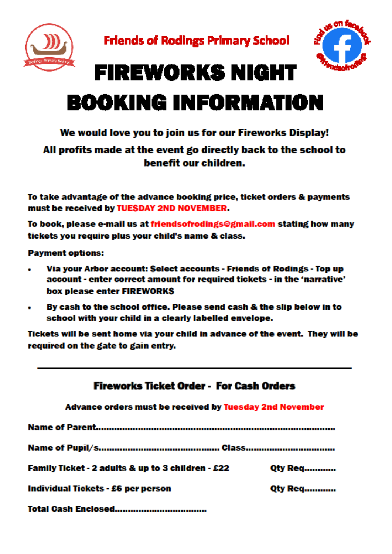



# **FIREWORKS NIGHT BOOKING INFORMATION**

#### We would love you to join us for our Fireworks Display!

#### All profits made at the event go directly back to the school to benefit our children.

To take advantage of the advance booking price, ticket orders & payments must be received by TUESDAY 2ND NOVEMBER.

To book, please e-mail us at friendsofrodings@gmail.com stating how many tickets you require plus your child's name & class.

**Payment options:** 

- Via your Arbor account: Select accounts Friends of Rodings Top up  $\bullet$ account - enter correct amount for required tickets - in the 'narrative' box please enter FIREWORKS
- By cash to the school office. Please send cash & the slip below in to  $\bullet$ school with your child in a clearly labelled envelope.

Tickets will be sent home via your child in advance of the event. They will be required on the gate to gain entry.

| Fireworks Ticket Order - For Cash Orders<br>Advance orders must be received by Tuesday 2nd November |                |
|-----------------------------------------------------------------------------------------------------|----------------|
|                                                                                                     |                |
|                                                                                                     |                |
| Family Ticket - 2 adults & up to 3 children - £22                                                   | <b>Qty Req</b> |
| Individual Tickets - £6 per person                                                                  | <b>Qty Req</b> |
| Total Caeh Enclosed                                                                                 |                |